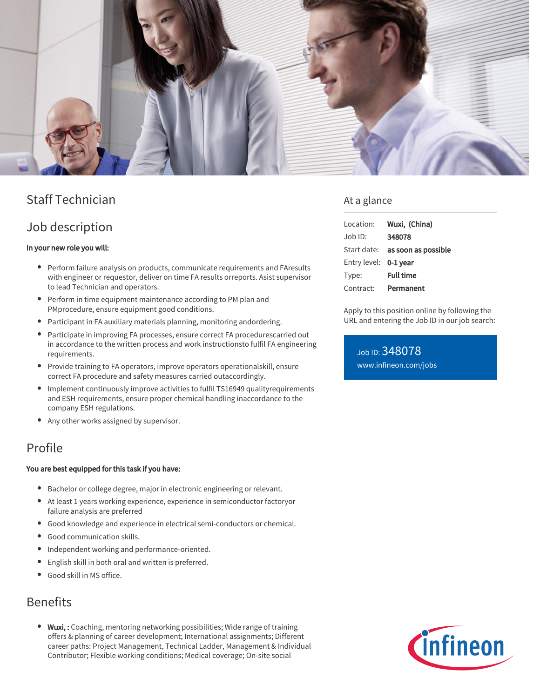

# Staff Technician

### Job description

### In your new role you will:

- Perform failure analysis on products, communicate requirements and FAresults with engineer or requestor, deliver on time FA results orreports. Asist supervisor to lead Technician and operators.
- Perform in time equipment maintenance according to PM plan and PMprocedure, ensure equipment good conditions.
- Participant in FA auxiliary materials planning, monitoring andordering.
- Participate in improving FA processes, ensure correct FA procedurescarried out in accordance to the written process and work instructionsto fulfil FA engineering requirements.
- Provide training to FA operators, improve operators operationalskill, ensure correct FA procedure and safety measures carried outaccordingly.
- Implement continuously improve activities to fulfil TS16949 qualityrequirements and ESH requirements, ensure proper chemical handling inaccordance to the company ESH regulations.
- Any other works assigned by supervisor.

### Profile

#### You are best equipped for this task if you have:

- Bachelor or college degree, major in electronic engineering or relevant.
- At least 1 years working experience, experience in semiconductor factoryor failure analysis are preferred
- Good knowledge and experience in electrical semi-conductors or chemical.
- Good communication skills.  $\bullet$
- Independent working and performance-oriented. ٠
- English skill in both oral and written is preferred.
- Good skill in MS office.

## Benefits

• Wuxi,: Coaching, mentoring networking possibilities; Wide range of training offers & planning of career development; International assignments; Different career paths: Project Management, Technical Ladder, Management & Individual Contributor; Flexible working conditions; Medical coverage; On-site social

### At a glance

| Location:    | Wuxi, (China)       |
|--------------|---------------------|
| Job ID:      | 348078              |
| Start date:  | as soon as possible |
| Entry level: | 0-1 year            |
| Type:        | <b>Full time</b>    |
| Contract:    | Permanent           |

Apply to this position online by following the URL and entering the Job ID in our job search:

Job ID: 348078 [www.infineon.com/jobs](https://www.infineon.com/jobs)